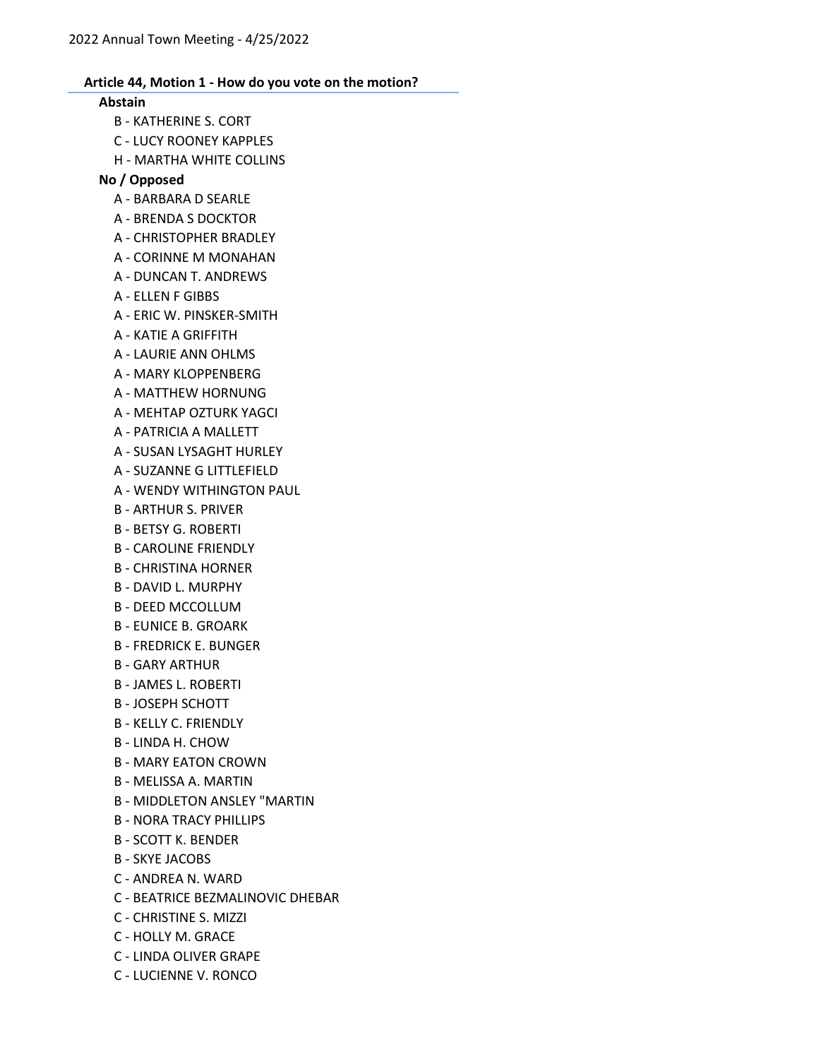#### Abstain

- B KATHERINE S. CORT
- C LUCY ROONEY KAPPLES
- H MARTHA WHITE COLLINS

### No / Opposed

- A BARBARA D SEARLE
- A BRENDA S DOCKTOR
- A CHRISTOPHER BRADLEY
- A CORINNE M MONAHAN
- A DUNCAN T. ANDREWS
- A ELLEN F GIBBS
- A ERIC W. PINSKER-SMITH
- A KATIE A GRIFFITH
- A LAURIE ANN OHLMS
- A MARY KLOPPENBERG
- A MATTHEW HORNUNG
- A MEHTAP OZTURK YAGCI
- A PATRICIA A MALLETT
- A SUSAN LYSAGHT HURLEY
- A SUZANNE G LITTLEFIELD
- A WENDY WITHINGTON PAUL
- B ARTHUR S. PRIVER
- B BETSY G. ROBERTI
- B CAROLINE FRIENDLY
- B CHRISTINA HORNER
- B DAVID L. MURPHY
- B DEED MCCOLLUM
- B EUNICE B. GROARK
- B FREDRICK E. BUNGER
- B GARY ARTHUR
- B JAMES L. ROBERTI
- B JOSEPH SCHOTT
- B KELLY C. FRIENDLY
- B LINDA H. CHOW
- B MARY EATON CROWN
- B MELISSA A. MARTIN
- B MIDDLETON ANSLEY "MARTIN
- B NORA TRACY PHILLIPS
- B SCOTT K. BENDER
- B SKYE JACOBS
- C ANDREA N. WARD
- C BEATRICE BEZMALINOVIC DHEBAR
- C CHRISTINE S. MIZZI
- C HOLLY M. GRACE
- C LINDA OLIVER GRAPE
- C LUCIENNE V. RONCO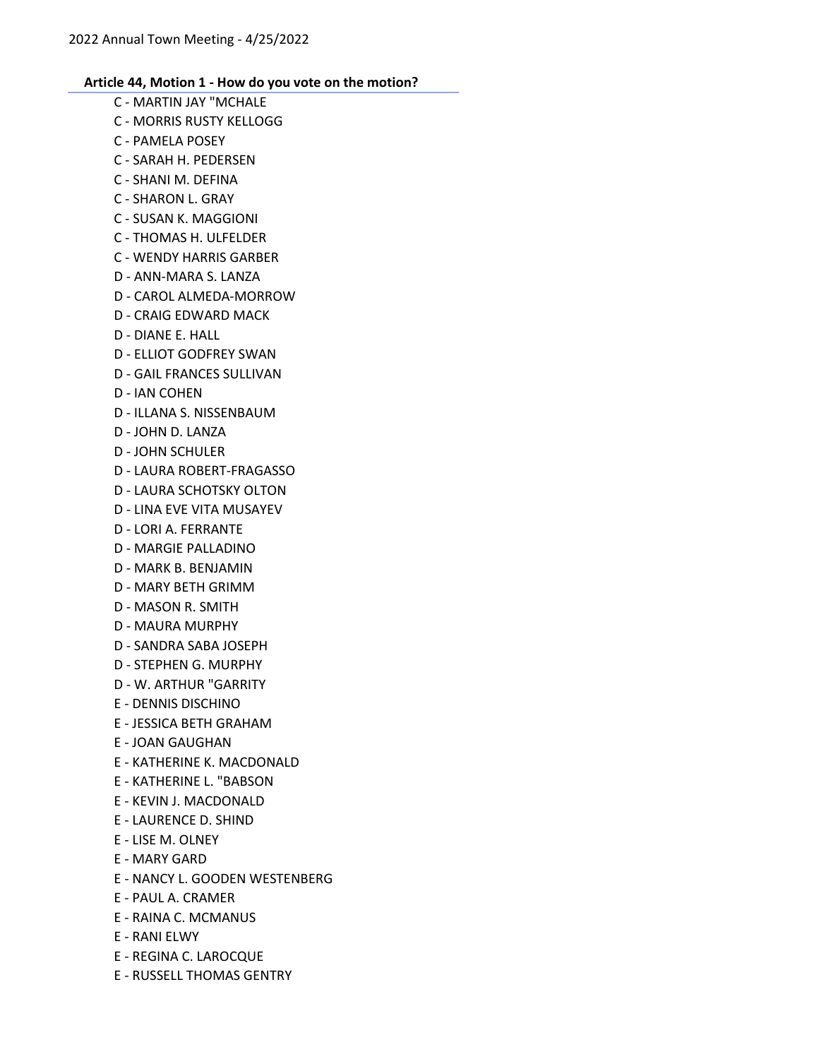C - MARTIN JAY "MCHALE C - MORRIS RUSTY KELLOGG C - PAMELA POSEY C - SARAH H. PEDERSEN C - SHANI M. DEFINA C - SHARON L. GRAY C - SUSAN K. MAGGIONI C - THOMAS H. ULFELDER C - WENDY HARRIS GARBER D - ANN-MARA S. LANZA D - CAROL ALMEDA-MORROW D - CRAIG EDWARD MACK D - DIANE E. HALL D - ELLIOT GODFREY SWAN D - GAIL FRANCES SULLIVAN D - IAN COHEN D - ILLANA S. NISSENBAUM D - JOHN D. LANZA D - JOHN SCHULER D - LAURA ROBERT-FRAGASSO D - LAURA SCHOTSKY OLTON D - LINA EVE VITA MUSAYEV D - LORI A. FERRANTE D - MARGIE PALLADINO D - MARK B. BENJAMIN D - MARY BETH GRIMM D - MASON R. SMITH D - MAURA MURPHY D - SANDRA SABA JOSEPH D - STEPHEN G. MURPHY D - W. ARTHUR "GARRITY E - DENNIS DISCHINO E - JESSICA BETH GRAHAM E - JOAN GAUGHAN E - KATHERINE K. MACDONALD E - KATHERINE L. "BABSON E - KEVIN J. MACDONALD E - LAURENCE D. SHIND E - LISE M. OLNEY E - MARY GARD E - NANCY L. GOODEN WESTENBERG E - PAUL A. CRAMER E - RAINA C. MCMANUS E - RANI ELWY E - REGINA C. LAROCQUE E - RUSSELL THOMAS GENTRY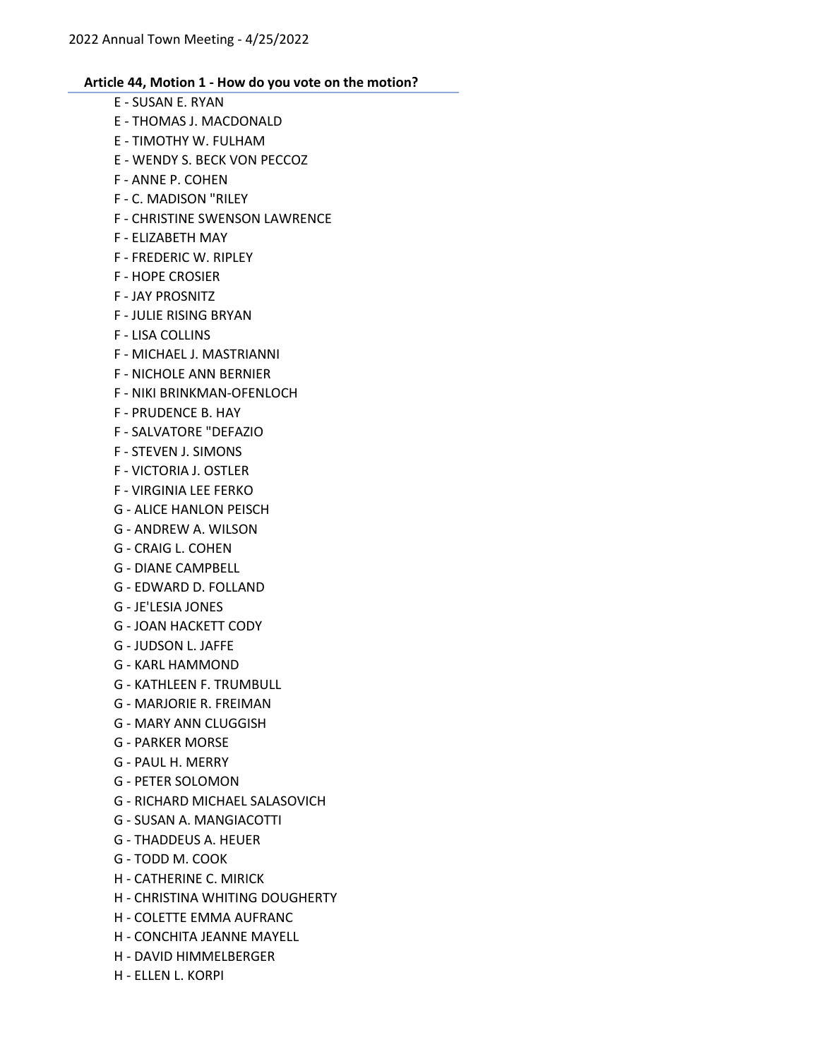E - SUSAN E. RYAN E - THOMAS J. MACDONALD E - TIMOTHY W. FULHAM E - WENDY S. BECK VON PECCOZ F - ANNE P. COHEN F - C. MADISON "RILEY F - CHRISTINE SWENSON LAWRENCE F - ELIZABETH MAY F - FREDERIC W. RIPLEY F - HOPE CROSIER F - JAY PROSNITZ F - JULIE RISING BRYAN F - LISA COLLINS F - MICHAEL J. MASTRIANNI F - NICHOLE ANN BERNIER F - NIKI BRINKMAN-OFENLOCH F - PRUDENCE B. HAY F - SALVATORE "DEFAZIO F - STEVEN J. SIMONS F - VICTORIA J. OSTLER F - VIRGINIA LEE FERKO G - ALICE HANLON PEISCH G - ANDREW A. WILSON G - CRAIG L. COHEN G - DIANE CAMPBELL G - EDWARD D. FOLLAND G - JE'LESIA JONES G - JOAN HACKETT CODY G - JUDSON L. JAFFE G - KARL HAMMOND G - KATHLEEN F. TRUMBULL G - MARJORIE R. FREIMAN G - MARY ANN CLUGGISH G - PARKER MORSE G - PAUL H. MERRY G - PETER SOLOMON G - RICHARD MICHAEL SALASOVICH G - SUSAN A. MANGIACOTTI G - THADDEUS A. HEUER G - TODD M. COOK H - CATHERINE C. MIRICK H - CHRISTINA WHITING DOUGHERTY H - COLETTE EMMA AUFRANC H - CONCHITA JEANNE MAYELL H - DAVID HIMMELBERGER

H - ELLEN L. KORPI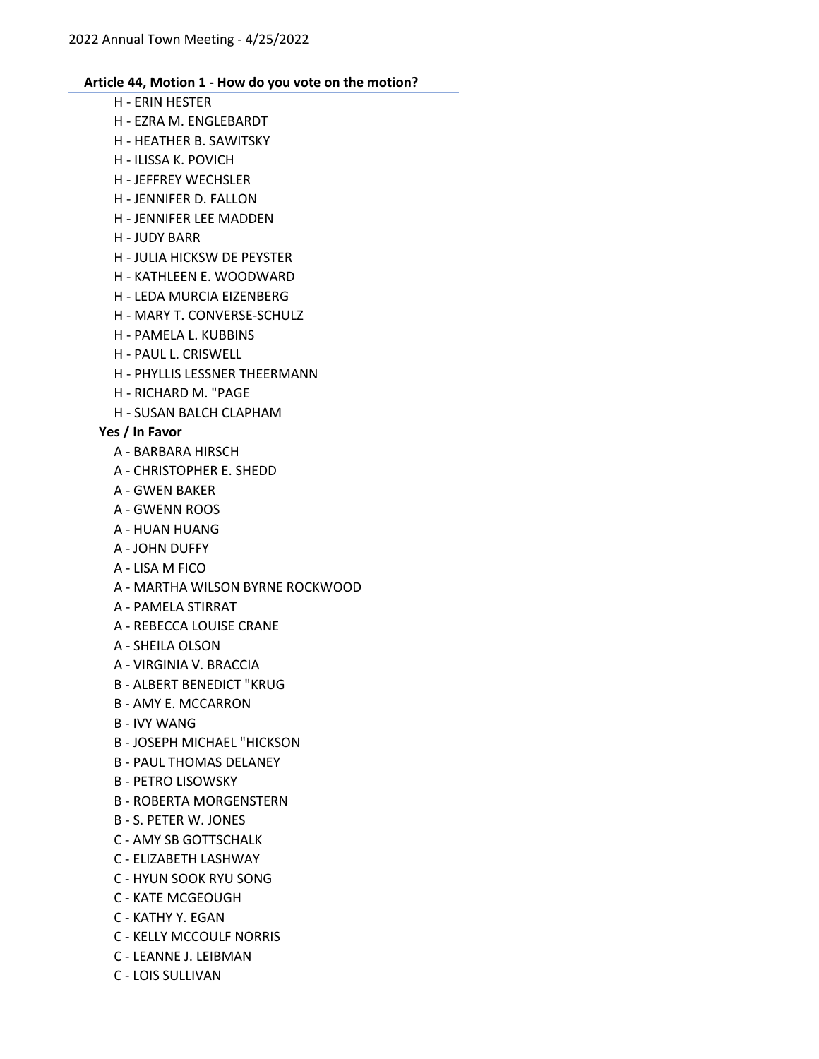- H ERIN HESTER
- H EZRA M. ENGLEBARDT
- H HEATHER B. SAWITSKY
- H ILISSA K. POVICH
- H JEFFREY WECHSLER
- H JENNIFER D. FALLON
- H JENNIFER LEE MADDEN
- H JUDY BARR
- H JULIA HICKSW DE PEYSTER
- H KATHLEEN E. WOODWARD
- H LEDA MURCIA EIZENBERG
- H MARY T. CONVERSE-SCHULZ
- H PAMELA L. KUBBINS
- H PAUL L. CRISWELL
- H PHYLLIS LESSNER THEERMANN
- H RICHARD M. "PAGE
- H SUSAN BALCH CLAPHAM

# Yes / In Favor

- A BARBARA HIRSCH
- A CHRISTOPHER E. SHEDD
- A GWEN BAKER
- A GWENN ROOS
- A HUAN HUANG
- A JOHN DUFFY
- A LISA M FICO
- A MARTHA WILSON BYRNE ROCKWOOD
- A PAMELA STIRRAT
- A REBECCA LOUISE CRANE
- A SHEILA OLSON
- A VIRGINIA V. BRACCIA
- B ALBERT BENEDICT "KRUG
- B AMY E. MCCARRON
- B IVY WANG
- B JOSEPH MICHAEL "HICKSON
- B PAUL THOMAS DELANEY
- B PETRO LISOWSKY
- B ROBERTA MORGENSTERN
- B S. PETER W. JONES
- C AMY SB GOTTSCHALK
- C ELIZABETH LASHWAY
- C HYUN SOOK RYU SONG
- C KATE MCGEOUGH
- C KATHY Y. EGAN
- C KELLY MCCOULF NORRIS
- C LEANNE J. LEIBMAN
- C LOIS SULLIVAN